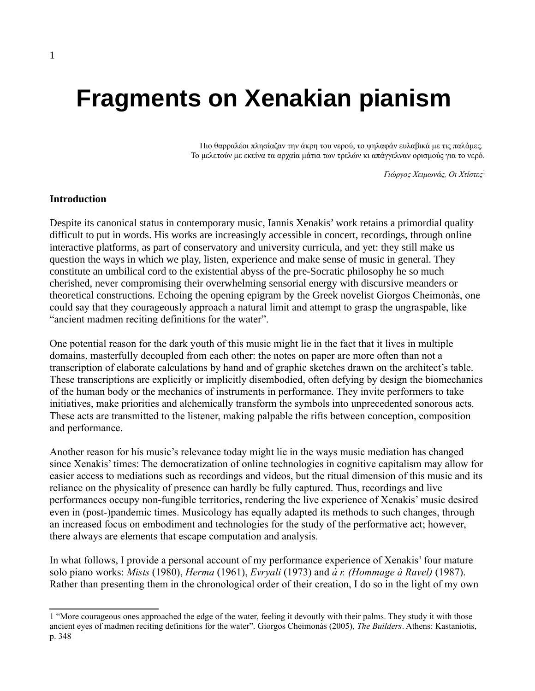# **Fragments on Xenakian pianism**

Πιο θαρραλέοι πλησίαζαν την άκρη του νερού, το ψηλαφάν ευλαβικά με τις παλάμες. Το μελετούν με εκείνα τα αρχαία μάτια των τρελών κι απάγγελναν ορισμούς για το νερό.

*Γιώργος Χειμωνάς, Οι Χτίστες*[1](#page-0-0)

#### **Introduction**

Despite its canonical status in contemporary music, Iannis Xenakis' work retains a primordial quality difficult to put in words. His works are increasingly accessible in concert, recordings, through online interactive platforms, as part of conservatory and university curricula, and yet: they still make us question the ways in which we play, listen, experience and make sense of music in general. They constitute an umbilical cord to the existential abyss of the pre-Socratic philosophy he so much cherished, never compromising their overwhelming sensorial energy with discursive meanders or theoretical constructions. Echoing the opening epigram by the Greek novelist Giorgos Cheimonàs, one could say that they courageously approach a natural limit and attempt to grasp the ungraspable, like "ancient madmen reciting definitions for the water".

One potential reason for the dark youth of this music might lie in the fact that it lives in multiple domains, masterfully decoupled from each other: the notes on paper are more often than not a transcription of elaborate calculations by hand and of graphic sketches drawn on the architect's table. These transcriptions are explicitly or implicitly disembodied, often defying by design the biomechanics of the human body or the mechanics of instruments in performance. They invite performers to take initiatives, make priorities and alchemically transform the symbols into unprecedented sonorous acts. These acts are transmitted to the listener, making palpable the rifts between conception, composition and performance.

Another reason for his music's relevance today might lie in the ways music mediation has changed since Xenakis' times: The democratization of online technologies in cognitive capitalism may allow for easier access to mediations such as recordings and videos, but the ritual dimension of this music and its reliance on the physicality of presence can hardly be fully captured. Thus, recordings and live performances occupy non-fungible territories, rendering the live experience of Xenakis' music desired even in (post-)pandemic times. Musicology has equally adapted its methods to such changes, through an increased focus on embodiment and technologies for the study of the performative act; however, there always are elements that escape computation and analysis.

In what follows, I provide a personal account of my performance experience of Xenakis' four mature solo piano works: *Mists* (1980), *Herma* (1961), *Evryali* (1973) and *à r. (Hommage à Ravel)* (1987). Rather than presenting them in the chronological order of their creation, I do so in the light of my own

<span id="page-0-0"></span><sup>1 &</sup>quot;More courageous ones approached the edge of the water, feeling it devoutly with their palms. They study it with those ancient eyes of madmen reciting definitions for the water". Giorgos Cheimonàs (2005), *The Builders*. Athens: Kastaniotis, p. 348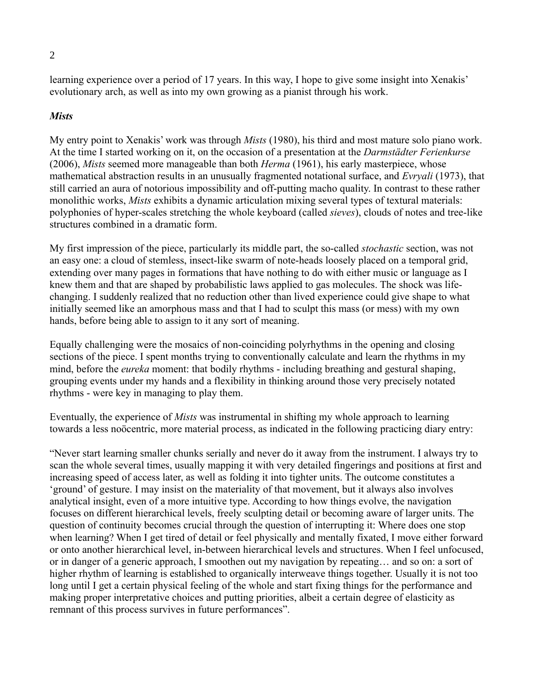learning experience over a period of 17 years. In this way, I hope to give some insight into Xenakis' evolutionary arch, as well as into my own growing as a pianist through his work.

## *Mists*

My entry point to Xenakis' work was through *Mists* (1980), his third and most mature solo piano work. At the time I started working on it, on the occasion of a presentation at the *Darmstädter Ferienkurse* (2006), *Mists* seemed more manageable than both *Herma* (1961), his early masterpiece, whose mathematical abstraction results in an unusually fragmented notational surface, and *Evryali* (1973), that still carried an aura of notorious impossibility and off-putting macho quality. In contrast to these rather monolithic works, *Mists* exhibits a dynamic articulation mixing several types of textural materials: polyphonies of hyper-scales stretching the whole keyboard (called *sieves*), clouds of notes and tree-like structures combined in a dramatic form.

My first impression of the piece, particularly its middle part, the so-called *stochastic* section, was not an easy one: a cloud of stemless, insect-like swarm of note-heads loosely placed on a temporal grid, extending over many pages in formations that have nothing to do with either music or language as I knew them and that are shaped by probabilistic laws applied to gas molecules. The shock was lifechanging. I suddenly realized that no reduction other than lived experience could give shape to what initially seemed like an amorphous mass and that I had to sculpt this mass (or mess) with my own hands, before being able to assign to it any sort of meaning.

Equally challenging were the mosaics of non-coinciding polyrhythms in the opening and closing sections of the piece. I spent months trying to conventionally calculate and learn the rhythms in my mind, before the *eureka* moment: that bodily rhythms - including breathing and gestural shaping, grouping events under my hands and a flexibility in thinking around those very precisely notated rhythms - were key in managing to play them.

Eventually, the experience of *Mists* was instrumental in shifting my whole approach to learning towards a less noöcentric, more material process, as indicated in the following practicing diary entry:

"Never start learning smaller chunks serially and never do it away from the instrument. I always try to scan the whole several times, usually mapping it with very detailed fingerings and positions at first and increasing speed of access later, as well as folding it into tighter units. The outcome constitutes a 'ground' of gesture. I may insist on the materiality of that movement, but it always also involves analytical insight, even of a more intuitive type. According to how things evolve, the navigation focuses on different hierarchical levels, freely sculpting detail or becoming aware of larger units. The question of continuity becomes crucial through the question of interrupting it: Where does one stop when learning? When I get tired of detail or feel physically and mentally fixated, I move either forward or onto another hierarchical level, in-between hierarchical levels and structures. When I feel unfocused, or in danger of a generic approach, I smoothen out my navigation by repeating… and so on: a sort of higher rhythm of learning is established to organically interweave things together. Usually it is not too long until I get a certain physical feeling of the whole and start fixing things for the performance and making proper interpretative choices and putting priorities, albeit a certain degree of elasticity as remnant of this process survives in future performances".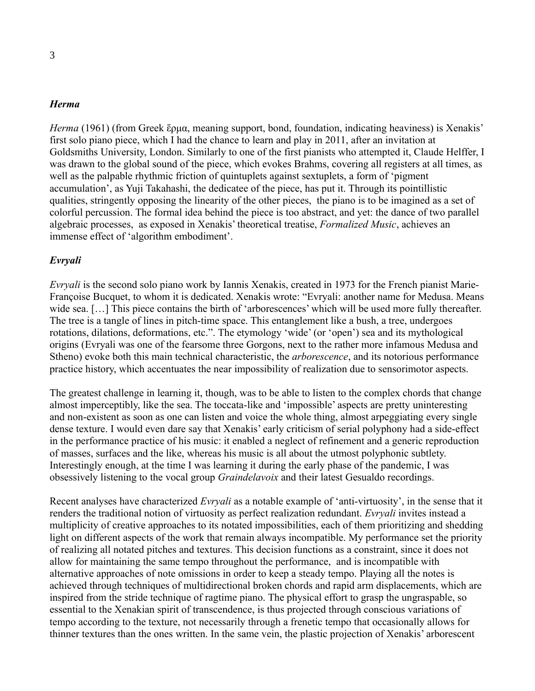#### *Herma*

*Herma* (1961) (from Greek ἕρμα, meaning support, bond, foundation, indicating heaviness) is Xenakis' first solo piano piece, which I had the chance to learn and play in 2011, after an invitation at Goldsmiths University, London. Similarly to one of the first pianists who attempted it, Claude Helffer, I was drawn to the global sound of the piece, which evokes Brahms, covering all registers at all times, as well as the palpable rhythmic friction of quintuplets against sextuplets, a form of 'pigment accumulation', as Yuji Takahashi, the dedicatee of the piece, has put it. Through its pointillistic qualities, stringently opposing the linearity of the other pieces, the piano is to be imagined as a set of colorful percussion. The formal idea behind the piece is too abstract, and yet: the dance of two parallel algebraic processes, as exposed in Xenakis' theoretical treatise, *Formalized Music*, achieves an immense effect of 'algorithm embodiment'.

#### *Evryali*

*Evryali* is the second solo piano work by Iannis Xenakis, created in 1973 for the French pianist Marie-Françoise Bucquet, to whom it is dedicated. Xenakis wrote: "Evryali: another name for Medusa. Means wide sea. [...] This piece contains the birth of 'arborescences' which will be used more fully thereafter. The tree is a tangle of lines in pitch-time space. This entanglement like a bush, a tree, undergoes rotations, dilations, deformations, etc.". The etymology 'wide' (or 'open') sea and its mythological origins (Evryali was one of the fearsome three Gorgons, next to the rather more infamous Medusa and Stheno) evoke both this main technical characteristic, the *arborescence*, and its notorious performance practice history, which accentuates the near impossibility of realization due to sensorimotor aspects.

The greatest challenge in learning it, though, was to be able to listen to the complex chords that change almost imperceptibly, like the sea. The toccata-like and 'impossible' aspects are pretty uninteresting and non-existent as soon as one can listen and voice the whole thing, almost arpeggiating every single dense texture. I would even dare say that Xenakis' early criticism of serial polyphony had a side-effect in the performance practice of his music: it enabled a neglect of refinement and a generic reproduction of masses, surfaces and the like, whereas his music is all about the utmost polyphonic subtlety. Interestingly enough, at the time I was learning it during the early phase of the pandemic, I was obsessively listening to the vocal group *Graindelavoix* and their latest Gesualdo recordings.

Recent analyses have characterized *Evryali* as a notable example of 'anti-virtuosity', in the sense that it renders the traditional notion of virtuosity as perfect realization redundant. *Evryali* invites instead a multiplicity of creative approaches to its notated impossibilities, each of them prioritizing and shedding light on different aspects of the work that remain always incompatible. My performance set the priority of realizing all notated pitches and textures. This decision functions as a constraint, since it does not allow for maintaining the same tempo throughout the performance, and is incompatible with alternative approaches of note omissions in order to keep a steady tempo. Playing all the notes is achieved through techniques of multidirectional broken chords and rapid arm displacements, which are inspired from the stride technique of ragtime piano. The physical effort to grasp the ungraspable, so essential to the Xenakian spirit of transcendence, is thus projected through conscious variations of tempo according to the texture, not necessarily through a frenetic tempo that occasionally allows for thinner textures than the ones written. In the same vein, the plastic projection of Xenakis' arborescent